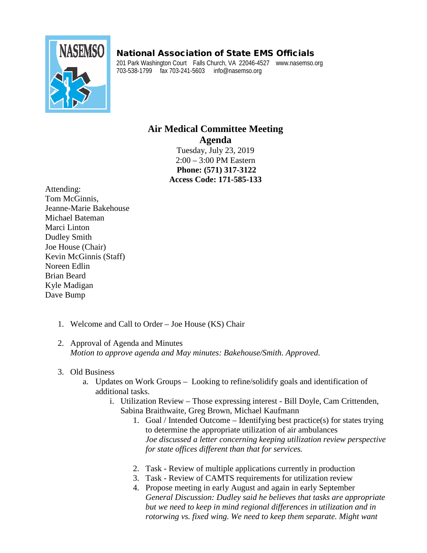## National Association of State EMS Officials



201 Park Washington Court Falls Church, VA 22046-4527 www.nasemso.org 703-538-1799 fax 703-241-5603 info@nasemso.org

## **Air Medical Committee Meeting Agenda**

Tuesday, July 23, 2019 2:00 – 3:00 PM Eastern **Phone: (571) 317-3122 Access Code: 171-585-133**

Attending: Tom McGinnis, Jeanne-Marie Bakehouse Michael Bateman Marci Linton Dudley Smith Joe House (Chair) Kevin McGinnis (Staff) Noreen Edlin Brian Beard Kyle Madigan Dave Bump

- 1. Welcome and Call to Order Joe House (KS) Chair
- 2. Approval of Agenda and Minutes *Motion to approve agenda and May minutes: Bakehouse/Smith. Approved.*

## 3. Old Business

- a. Updates on Work Groups Looking to refine/solidify goals and identification of additional tasks.
	- i. Utilization Review Those expressing interest Bill Doyle, Cam Crittenden, Sabina Braithwaite, Greg Brown, Michael Kaufmann
		- 1. Goal / Intended Outcome Identifying best practice(s) for states trying to determine the appropriate utilization of air ambulances *Joe discussed a letter concerning keeping utilization review perspective for state offices different than that for services.*
		- 2. Task Review of multiple applications currently in production
		- 3. Task Review of CAMTS requirements for utilization review
		- 4. Propose meeting in early August and again in early September *General Discussion: Dudley said he believes that tasks are appropriate but we need to keep in mind regional differences in utilization and in rotorwing vs. fixed wing. We need to keep them separate. Might want*